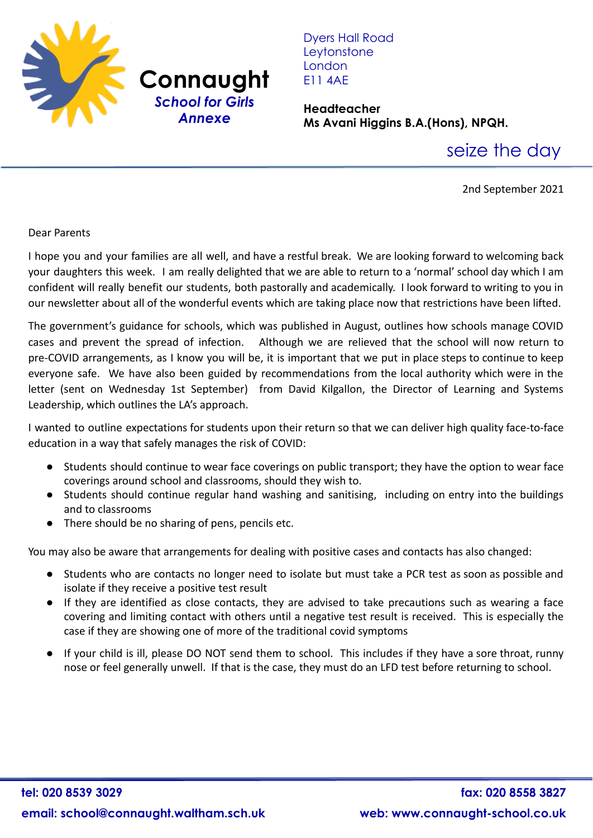

Dyers Hall Road **Leytonstone** London E11 4AE

**Headteacher Ms Avani Higgins B.A.(Hons), NPQH.**

seize the day

2nd September 2021

## Dear Parents

I hope you and your families are all well, and have a restful break. We are looking forward to welcoming back your daughters this week. I am really delighted that we are able to return to a 'normal' school day which I am confident will really benefit our students, both pastorally and academically. I look forward to writing to you in our newsletter about all of the wonderful events which are taking place now that restrictions have been lifted.

The government's guidance for schools, which was published in August, outlines how schools manage COVID cases and prevent the spread of infection. Although we are relieved that the school will now return to pre-COVID arrangements, as I know you will be, it is important that we put in place steps to continue to keep everyone safe. We have also been guided by recommendations from the local authority which were in the letter (sent on Wednesday 1st September) from David Kilgallon, the Director of Learning and Systems Leadership, which outlines the LA's approach.

I wanted to outline expectations for students upon their return so that we can deliver high quality face-to-face education in a way that safely manages the risk of COVID:

- Students should continue to wear face coverings on public transport; they have the option to wear face coverings around school and classrooms, should they wish to.
- Students should continue regular hand washing and sanitising, including on entry into the buildings and to classrooms
- There should be no sharing of pens, pencils etc.

You may also be aware that arrangements for dealing with positive cases and contacts has also changed:

- Students who are contacts no longer need to isolate but must take a PCR test as soon as possible and isolate if they receive a positive test result
- If they are identified as close contacts, they are advised to take precautions such as wearing a face covering and limiting contact with others until a negative test result is received. This is especially the case if they are showing one of more of the traditional covid symptoms
- If your child is ill, please DO NOT send them to school. This includes if they have a sore throat, runny nose or feel generally unwell. If that is the case, they must do an LFD test before returning to school.